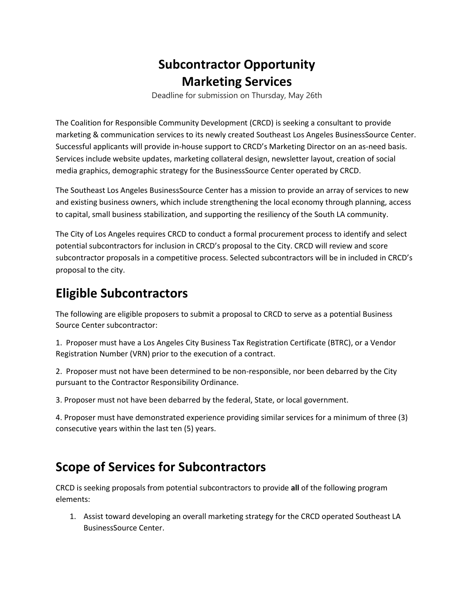## **Subcontractor Opportunity Marketing Services**

Deadline for submission on Thursday, May 26th

The Coalition for Responsible Community Development (CRCD) is seeking a consultant to provide marketing & communication services to its newly created Southeast Los Angeles BusinessSource Center. Successful applicants will provide in-house support to CRCD's Marketing Director on an as-need basis. Services include website updates, marketing collateral design, newsletter layout, creation of social media graphics, demographic strategy for the BusinessSource Center operated by CRCD.

The Southeast Los Angeles BusinessSource Center has a mission to provide an array of services to new and existing business owners, which include strengthening the local economy through planning, access to capital, small business stabilization, and supporting the resiliency of the South LA community.

The City of Los Angeles requires CRCD to conduct a formal procurement process to identify and select potential subcontractors for inclusion in CRCD's proposal to the City. CRCD will review and score subcontractor proposals in a competitive process. Selected subcontractors will be in included in CRCD's proposal to the city.

## **Eligible Subcontractors**

The following are eligible proposers to submit a proposal to CRCD to serve as a potential Business Source Center subcontractor:

1. Proposer must have a Los Angeles City Business Tax Registration Certificate (BTRC), or a Vendor Registration Number (VRN) prior to the execution of a contract.

2. Proposer must not have been determined to be non-responsible, nor been debarred by the City pursuant to the Contractor Responsibility Ordinance.

3. Proposer must not have been debarred by the federal, State, or local government.

4. Proposer must have demonstrated experience providing similar services for a minimum of three (3) consecutive years within the last ten (5) years.

## **Scope of Services for Subcontractors**

CRCD is seeking proposals from potential subcontractors to provide **all** of the following program elements:

1. Assist toward developing an overall marketing strategy for the CRCD operated Southeast LA BusinessSource Center.